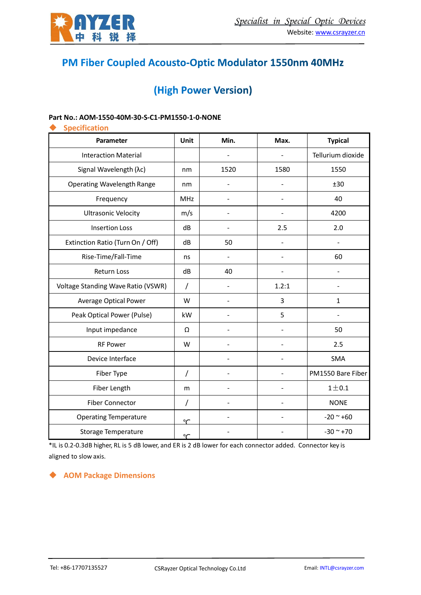

# PM Fiber Coupled Acousto-Optic Modulator 1550nm 40MHz

# (High Power Version)

#### **Part No.: AOM-1550-40M-30-S-C1-PM1550-1-0-NONE**

| <b>Specification</b>               |            |      |       |                   |  |  |
|------------------------------------|------------|------|-------|-------------------|--|--|
| Parameter                          | Unit       | Min. | Max.  | <b>Typical</b>    |  |  |
| <b>Interaction Material</b>        |            |      |       | Tellurium dioxide |  |  |
| Signal Wavelength (λc)             | nm         | 1520 | 1580  | 1550              |  |  |
| <b>Operating Wavelength Range</b>  | nm         |      | L,    | ±30               |  |  |
| Frequency                          | <b>MHz</b> |      |       | 40                |  |  |
| <b>Ultrasonic Velocity</b>         | m/s        |      |       | 4200              |  |  |
| <b>Insertion Loss</b>              | dB         |      | 2.5   | 2.0               |  |  |
| Extinction Ratio (Turn On / Off)   | dB         | 50   |       | ÷,                |  |  |
| Rise-Time/Fall-Time                | ns         |      |       | 60                |  |  |
| <b>Return Loss</b>                 | dB         | 40   |       |                   |  |  |
| Voltage Standing Wave Ratio (VSWR) | T          |      | 1.2:1 | $\blacksquare$    |  |  |
| <b>Average Optical Power</b>       | W          |      | 3     | $\mathbf{1}$      |  |  |
| Peak Optical Power (Pulse)         | kW         |      | 5     |                   |  |  |
| Input impedance                    | Ω          |      |       | 50                |  |  |
| <b>RF Power</b>                    | W          |      |       | 2.5               |  |  |
| Device Interface                   |            |      |       | <b>SMA</b>        |  |  |
| Fiber Type                         | /          |      |       | PM1550 Bare Fiber |  |  |
| Fiber Length                       | m          |      | L,    | $1\pm0.1$         |  |  |
| <b>Fiber Connector</b>             | T          |      |       | <b>NONE</b>       |  |  |
| <b>Operating Temperature</b>       | ∽          |      |       | $-20$ ~ $+60$     |  |  |
| <b>Storage Temperature</b>         | $\sim$     |      |       | $-30 - +70$       |  |  |

\*IL is 0.2-0.3dB higher, RL is 5 dB lower, and ER is 2 dB lower for each connector added. Connector key is aligned to slow axis.

### ◆ **AOM Package Dimensions**